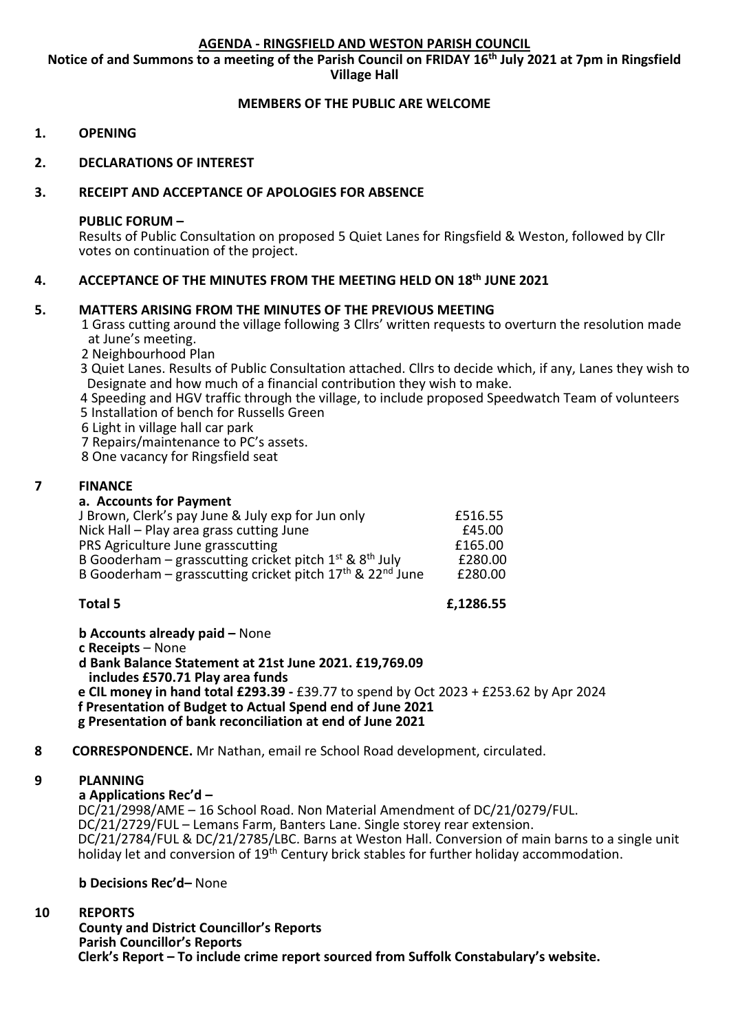## **AGENDA - RINGSFIELD AND WESTON PARISH COUNCIL**

**Notice of and Summons to a meeting of the Parish Council on FRIDAY 16 th July 2021 at 7pm in Ringsfield Village Hall**

# **MEMBERS OF THE PUBLIC ARE WELCOME**

- **1. OPENING**
- **2. DECLARATIONS OF INTEREST**

# **3. RECEIPT AND ACCEPTANCE OF APOLOGIES FOR ABSENCE**

#### **PUBLIC FORUM –**

Results of Public Consultation on proposed 5 Quiet Lanes for Ringsfield & Weston, followed by Cllr votes on continuation of the project.

# **4. ACCEPTANCE OF THE MINUTES FROM THE MEETING HELD ON 18th JUNE 2021**

## **5. MATTERS ARISING FROM THE MINUTES OF THE PREVIOUS MEETING**

1 Grass cutting around the village following 3 Cllrs' written requests to overturn the resolution made at June's meeting.

- 2 Neighbourhood Plan
- 3 Quiet Lanes. Results of Public Consultation attached. Cllrs to decide which, if any, Lanes they wish to Designate and how much of a financial contribution they wish to make.

4 Speeding and HGV traffic through the village, to include proposed Speedwatch Team of volunteers 5 Installation of bench for Russells Green

6 Light in village hall car park

7 Repairs/maintenance to PC's assets.

8 One vacancy for Ringsfield seat

## **7 FINANCE**

## **a. Accounts for Payment**

| J Brown, Clerk's pay June & July exp for Jun only                                 | £516.55 |
|-----------------------------------------------------------------------------------|---------|
| Nick Hall – Play area grass cutting June                                          | £45.00  |
| PRS Agriculture June grasscutting                                                 | £165.00 |
| B Gooderham – grasscutting cricket pitch $1^{st}$ & $8^{th}$ July                 | £280.00 |
| B Gooderham - grasscutting cricket pitch 17 <sup>th</sup> & 22 <sup>nd</sup> June | £280.00 |
|                                                                                   |         |

**Total 5 £,1286.55**

**b Accounts already paid –** None

**c Receipts** – None

**d Bank Balance Statement at 21st June 2021. £19,769.09 includes £570.71 Play area funds e CIL money in hand total £293.39 -** £39.77 to spend by Oct 2023 + £253.62 by Apr 2024 **f Presentation of Budget to Actual Spend end of June 2021 g Presentation of bank reconciliation at end of June 2021**

# **8 CORRESPONDENCE.** Mr Nathan, email re School Road development, circulated.

# **9 PLANNING**

**a Applications Rec'd –**

 DC/21/2998/AME – 16 School Road. Non Material Amendment of DC/21/0279/FUL. DC/21/2729/FUL – Lemans Farm, Banters Lane. Single storey rear extension. DC/21/2784/FUL & DC/21/2785/LBC. Barns at Weston Hall. Conversion of main barns to a single unit holiday let and conversion of 19<sup>th</sup> Century brick stables for further holiday accommodation.

#### **b Decisions Rec'd–** None

#### $10$ **10 REPORTS**

**County and District Councillor's Reports Parish Councillor's Reports Clerk's Report – To include crime report sourced from Suffolk Constabulary's website.**